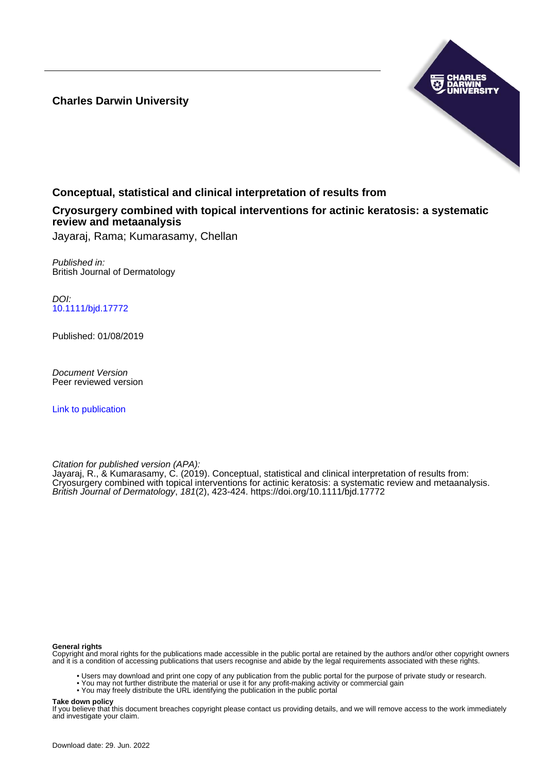**Charles Darwin University**



# **Conceptual, statistical and clinical interpretation of results from**

## **Cryosurgery combined with topical interventions for actinic keratosis: a systematic review and metaanalysis**

Jayaraj, Rama; Kumarasamy, Chellan

Published in: British Journal of Dermatology

DOI: [10.1111/bjd.17772](https://doi.org/10.1111/bjd.17772)

Published: 01/08/2019

Document Version Peer reviewed version

[Link to publication](https://researchers.cdu.edu.au/en/publications/675f7a7d-7361-437c-830c-80e010ead533)

Citation for published version (APA):

Jayaraj, R., & Kumarasamy, C. (2019). Conceptual, statistical and clinical interpretation of results from: Cryosurgery combined with topical interventions for actinic keratosis: a systematic review and metaanalysis. British Journal of Dermatology, 181(2), 423-424.<https://doi.org/10.1111/bjd.17772>

#### **General rights**

Copyright and moral rights for the publications made accessible in the public portal are retained by the authors and/or other copyright owners and it is a condition of accessing publications that users recognise and abide by the legal requirements associated with these rights.

- Users may download and print one copy of any publication from the public portal for the purpose of private study or research.
- You may not further distribute the material or use it for any profit-making activity or commercial gain
- You may freely distribute the URL identifying the publication in the public portal

#### **Take down policy**

If you believe that this document breaches copyright please contact us providing details, and we will remove access to the work immediately and investigate your claim.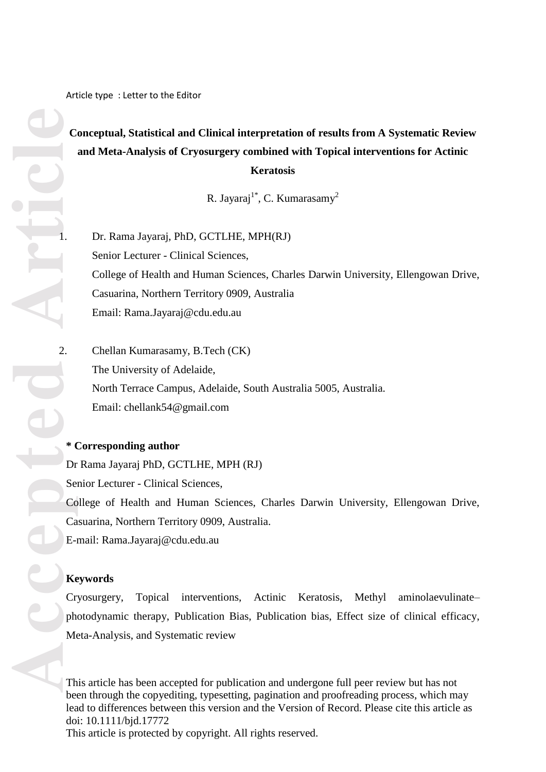Article type : Letter to the Editor

# **Conceptual, Statistical and Clinical interpretation of results from A Systematic Review and Meta-Analysis of Cryosurgery combined with Topical interventions for Actinic Keratosis**

R. Jayaraj<sup>1\*</sup>, C. Kumarasamy<sup>2</sup>

Dr. Rama Javarai, PhD, GCTLHE, MPH(RJ) Senior Lecturer - Clinical Sciences, College of Health and Human Sciences, Charles Darwin University, Ellengowan Drive, Casuarina, Northern Territory 0909, Australia Email: Rama.Jayaraj@cdu.edu.au

2. Chellan Kumarasamy, B.Tech (CK) The University of Adelaide, North Terrace Campus, Adelaide, South Australia 5005, Australia. Email: chellank54@gmail.com

### **\* Corresponding author**

Dr Rama Jayaraj PhD, GCTLHE, MPH (RJ) Senior Lecturer - Clinical Sciences, College of Health and Human Sciences, Charles Darwin University, Ellengowan Drive, Casuarina, Northern Territory 0909, Australia. E-mail: Rama.Jayaraj@cdu.edu.au

### **Keywords**

Cryosurgery, Topical interventions, Actinic Keratosis, Methyl aminolaevulinate– photodynamic therapy, Publication Bias, Publication bias, Effect size of clinical efficacy, Meta-Analysis, and Systematic review

This article has been accepted for publication and undergone full peer review but has not been through the copyediting, typesetting, pagination and proofreading process, which may lead to differences between this version and the Version of Record. Please cite this article as doi: 10.1111/bjd.17772

This article is protected by copyright. All rights reserved.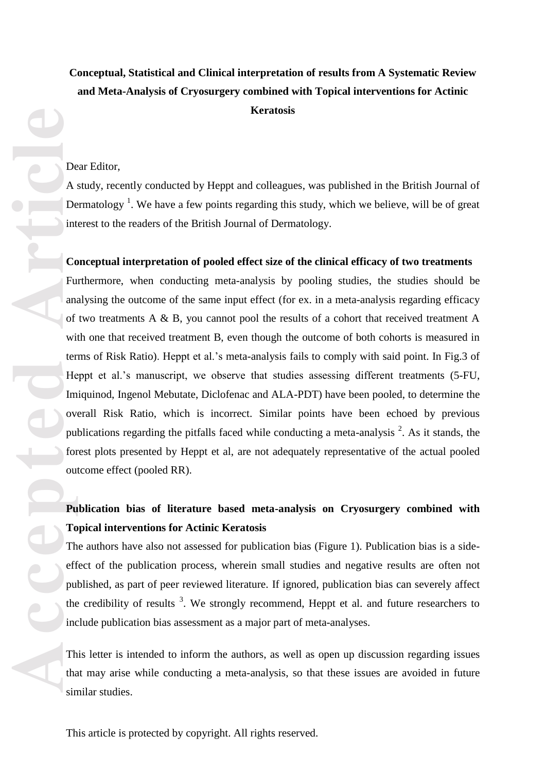# **Conceptual, Statistical and Clinical interpretation of results from A Systematic Review and Meta -Analysis of Cryosurgery combined with Topical interventions for Actinic Keratosis**

#### Dear Editor,

A study, recently conducted by Heppt and colleagues , was published in the British Journal of Dermatology<sup>1</sup>. We have a few points regarding this study, which we believe, will be of great interest to the readers of the British Journal of Dermatology.

### **Conceptual interpretation of pooled effect size of the clinical efficacy of two treatments**

Furthermore , when conducting meta -analysis by pooling studies, the studies should be analysing the outcome of the same input effect (for ex. in a meta -analysis regarding efficacy of two treatments A & B, you cannot pool the results of a cohort that received treatment A with one that received treatment B, even though the outcome of both cohorts is measured in terms of Risk Ratio). Heppt et al.'s meta -analysis fails to comply with said point. In Fig.3 of Heppt et al.'s manuscript, we observe that studies assessing different treatments (5-FU, Imiquinod, Ingenol Mebutate, Diclofenac and ALA -PDT) have been pooled, to determine the overall Risk Ratio, which is incorrect. Similar points have been echoed by previous publications regarding the pitfalls faced while conducting a meta-analysis  $2$ . As it stands, the forest plots presented by Heppt et al, are not adequately representative of the actual pooled outcome effect (pooled RR) .

# Publication bias of literature based meta-analysis on Cryosurgery combined with **Topical interventions for Actinic Keratosis**

The authors have also not assessed for publication bias (Figure 1) . Publication bias is a side effect of the publication process, wherein small studies and negative results are often not published, as part of peer reviewed literature. If ignored, publication bias can severely affect the credibility of results  $3$ . We strongly recommend, Heppt et al. and future researchers to include publication bias assessment as a major part of meta -analyses.

This letter is intended to inform the authors , as well as open up discussion regarding issues that may arise while conducting a meta -analysis, so that these issues are avoided in future similar studies.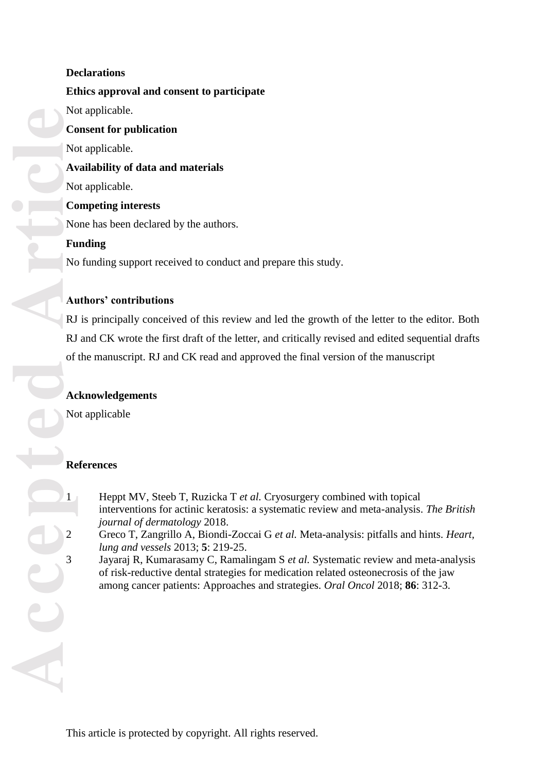# **Declarations**

**Co**<br> **Article**<br> **Article**<br> **Article**<br> **Article**<br> **Article**<br> **Article**<br> **Article**<br> **Article**<br> **Article**<br> **Article**<br> **Article**<br> **Article**<br> **Article**<br> **Article**<br> **Article**<br> **Article**<br> **Article Ethics approval and consent to participate** Not applicable. **Consent for publication** Not applicable. **Availability of data and materials** Not applicable. **Competing interests** None has been declared by the authors. **Funding** No funding support received to conduct and prepare this study .

# **Authors' contributions**

RJ is principally conceived of this review and led the growth of the letter to the editor. Both RJ and CK wrote the first draft of the letter, and critically revised and edited sequential drafts of the manuscript. RJ and CK read and approved the final version of the manuscript

# **Acknowledgements**

Not applicable

# **References**

- 1 Heppt MV, Steeb T, Ruzicka T *et al.* Cryosurgery combined with topical interventions for actinic keratosis: a systematic review and meta -analysis. *The British journal of dermatology* 2018.
- 2 Greco T, Zangrillo A, Biondi -Zoccai G *et al.* Meta -analysis: pitfalls and hints. *Heart, lung and vessels* 2013; **5**: 219 -25.
- 3 Jayaraj R, Kumarasamy C, Ramalingam S *et al.* Systematic review and meta -analysis of risk -reductive dental strategies for medication related osteonecrosis of the jaw among cancer patients: Approaches and strategies. *Oral Oncol* 2018; **86**: 312 -3.

This article is protected by copyright. All rights reserved.